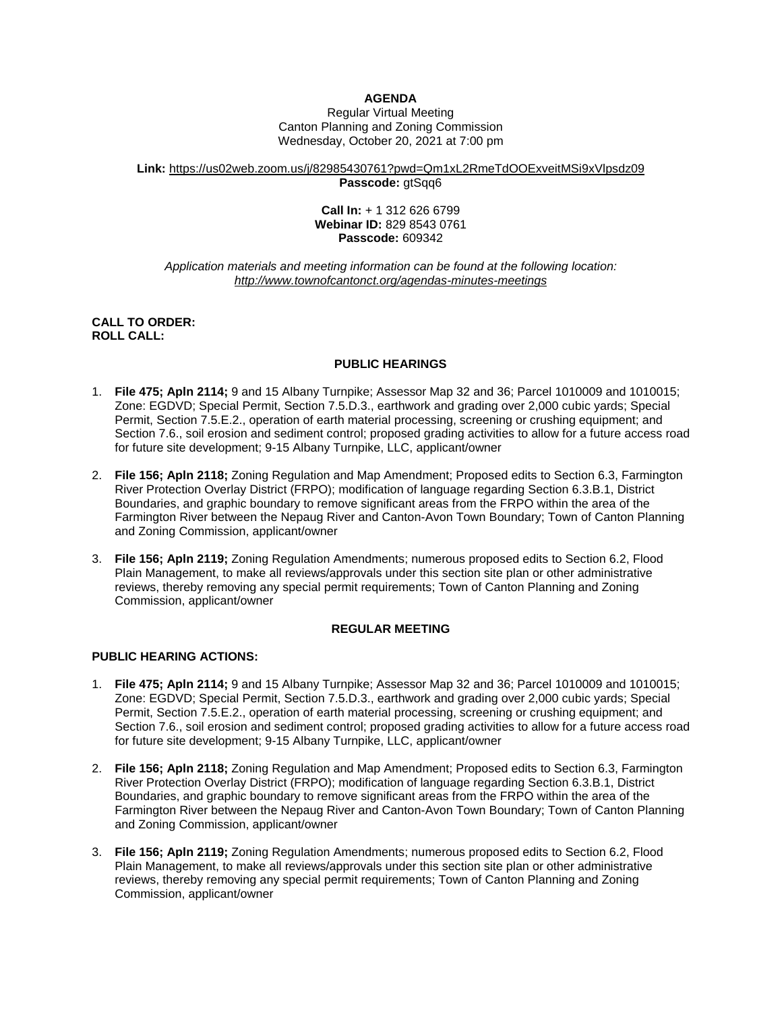# **AGENDA**

Regular Virtual Meeting Canton Planning and Zoning Commission Wednesday, October 20, 2021 at 7:00 pm

#### **Link:** <https://us02web.zoom.us/j/82985430761?pwd=Qm1xL2RmeTdOOExveitMSi9xVlpsdz09> **Passcode:** gtSqq6

#### **Call In:** + 1 312 626 6799 **Webinar ID:** 829 8543 0761 **Passcode:** 609342

#### *Application materials and meeting information can be found at the following location: <http://www.townofcantonct.org/agendas-minutes-meetings>*

### **CALL TO ORDER: ROLL CALL:**

### **PUBLIC HEARINGS**

- 1. **File 475; Apln 2114;** 9 and 15 Albany Turnpike; Assessor Map 32 and 36; Parcel 1010009 and 1010015; Zone: EGDVD; Special Permit, Section 7.5.D.3., earthwork and grading over 2,000 cubic yards; Special Permit, Section 7.5.E.2., operation of earth material processing, screening or crushing equipment; and Section 7.6., soil erosion and sediment control; proposed grading activities to allow for a future access road for future site development; 9-15 Albany Turnpike, LLC, applicant/owner
- 2. **File 156; Apln 2118;** Zoning Regulation and Map Amendment; Proposed edits to Section 6.3, Farmington River Protection Overlay District (FRPO); modification of language regarding Section 6.3.B.1, District Boundaries, and graphic boundary to remove significant areas from the FRPO within the area of the Farmington River between the Nepaug River and Canton-Avon Town Boundary; Town of Canton Planning and Zoning Commission, applicant/owner
- 3. **File 156; Apln 2119;** Zoning Regulation Amendments; numerous proposed edits to Section 6.2, Flood Plain Management, to make all reviews/approvals under this section site plan or other administrative reviews, thereby removing any special permit requirements; Town of Canton Planning and Zoning Commission, applicant/owner

## **REGULAR MEETING**

## **PUBLIC HEARING ACTIONS:**

- 1. **File 475; Apln 2114;** 9 and 15 Albany Turnpike; Assessor Map 32 and 36; Parcel 1010009 and 1010015; Zone: EGDVD; Special Permit, Section 7.5.D.3., earthwork and grading over 2,000 cubic yards; Special Permit, Section 7.5.E.2., operation of earth material processing, screening or crushing equipment; and Section 7.6., soil erosion and sediment control; proposed grading activities to allow for a future access road for future site development; 9-15 Albany Turnpike, LLC, applicant/owner
- 2. **File 156; Apln 2118;** Zoning Regulation and Map Amendment; Proposed edits to Section 6.3, Farmington River Protection Overlay District (FRPO); modification of language regarding Section 6.3.B.1, District Boundaries, and graphic boundary to remove significant areas from the FRPO within the area of the Farmington River between the Nepaug River and Canton-Avon Town Boundary; Town of Canton Planning and Zoning Commission, applicant/owner
- 3. **File 156; Apln 2119;** Zoning Regulation Amendments; numerous proposed edits to Section 6.2, Flood Plain Management, to make all reviews/approvals under this section site plan or other administrative reviews, thereby removing any special permit requirements; Town of Canton Planning and Zoning Commission, applicant/owner